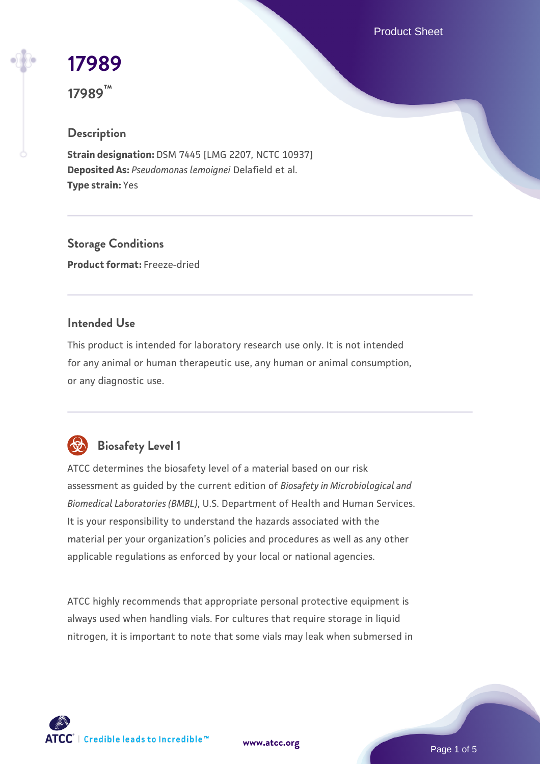Product Sheet

# **[17989](https://www.atcc.org/products/17989)**

**17989™**

# **Description**

**Strain designation:** DSM 7445 [LMG 2207, NCTC 10937] **Deposited As:** *Pseudomonas lemoignei* Delafield et al. **Type strain:** Yes

**Storage Conditions Product format:** Freeze-dried

### **Intended Use**

This product is intended for laboratory research use only. It is not intended for any animal or human therapeutic use, any human or animal consumption, or any diagnostic use.



# **Biosafety Level 1**

ATCC determines the biosafety level of a material based on our risk assessment as guided by the current edition of *Biosafety in Microbiological and Biomedical Laboratories (BMBL)*, U.S. Department of Health and Human Services. It is your responsibility to understand the hazards associated with the material per your organization's policies and procedures as well as any other applicable regulations as enforced by your local or national agencies.

ATCC highly recommends that appropriate personal protective equipment is always used when handling vials. For cultures that require storage in liquid nitrogen, it is important to note that some vials may leak when submersed in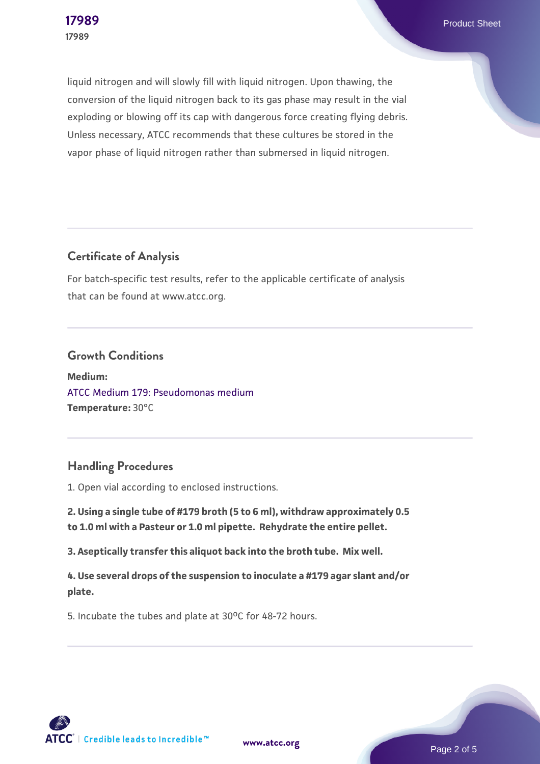**[17989](https://www.atcc.org/products/17989)** Product Sheet

liquid nitrogen and will slowly fill with liquid nitrogen. Upon thawing, the conversion of the liquid nitrogen back to its gas phase may result in the vial exploding or blowing off its cap with dangerous force creating flying debris. Unless necessary, ATCC recommends that these cultures be stored in the vapor phase of liquid nitrogen rather than submersed in liquid nitrogen.

### **Certificate of Analysis**

For batch-specific test results, refer to the applicable certificate of analysis that can be found at www.atcc.org.

#### **Growth Conditions**

**Medium:**  [ATCC Medium 179: Pseudomonas medium](https://www.atcc.org/-/media/product-assets/documents/microbial-media-formulations/1/7/9/atcc-medium-179.pdf?rev=efe4fe3c89364340909d4d0c6c467884) **Temperature:** 30°C

### **Handling Procedures**

1. Open vial according to enclosed instructions.

**2. Using a single tube of #179 broth (5 to 6 ml), withdraw approximately 0.5 to 1.0 ml with a Pasteur or 1.0 ml pipette. Rehydrate the entire pellet.**

**3. Aseptically transfer this aliquot back into the broth tube. Mix well.**

**4. Use several drops of the suspension to inoculate a #179 agar slant and/or plate.**

5. Incubate the tubes and plate at 30°C for 48-72 hours.

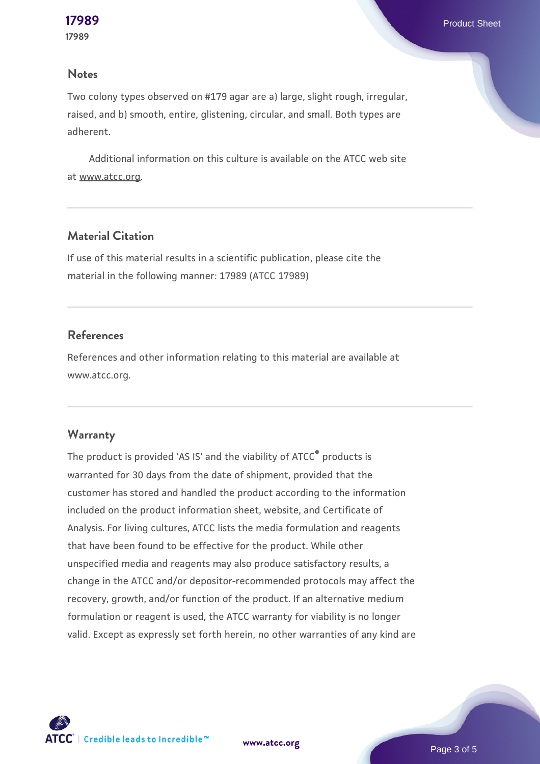#### **Notes**

Two colony types observed on #179 agar are a) large, slight rough, irregular, raised, and b) smooth, entire, glistening, circular, and small. Both types are adherent.

 Additional information on this culture is available on the ATCC web site at www.atcc.org.

#### **Material Citation**

If use of this material results in a scientific publication, please cite the material in the following manner: 17989 (ATCC 17989)

#### **References**

References and other information relating to this material are available at www.atcc.org.

#### **Warranty**

The product is provided 'AS IS' and the viability of ATCC® products is warranted for 30 days from the date of shipment, provided that the customer has stored and handled the product according to the information included on the product information sheet, website, and Certificate of Analysis. For living cultures, ATCC lists the media formulation and reagents that have been found to be effective for the product. While other unspecified media and reagents may also produce satisfactory results, a change in the ATCC and/or depositor-recommended protocols may affect the recovery, growth, and/or function of the product. If an alternative medium formulation or reagent is used, the ATCC warranty for viability is no longer valid. Except as expressly set forth herein, no other warranties of any kind are



**[www.atcc.org](http://www.atcc.org)**

Page 3 of 5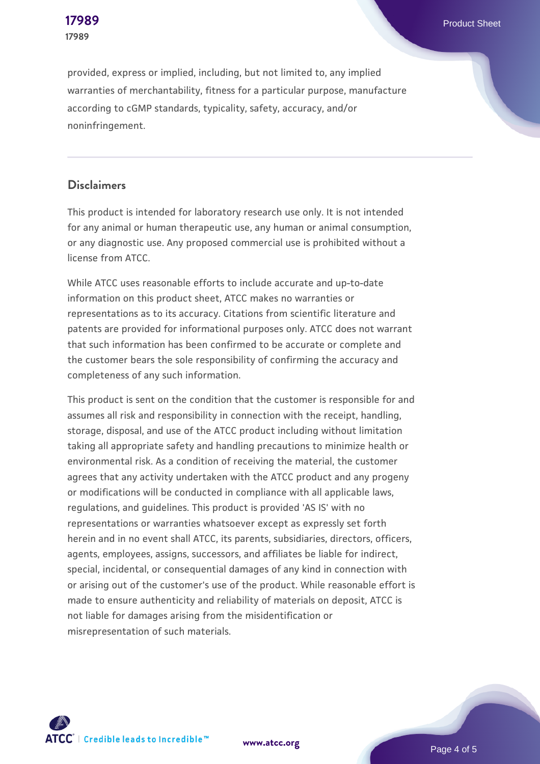provided, express or implied, including, but not limited to, any implied warranties of merchantability, fitness for a particular purpose, manufacture according to cGMP standards, typicality, safety, accuracy, and/or noninfringement.

#### **Disclaimers**

This product is intended for laboratory research use only. It is not intended for any animal or human therapeutic use, any human or animal consumption, or any diagnostic use. Any proposed commercial use is prohibited without a license from ATCC.

While ATCC uses reasonable efforts to include accurate and up-to-date information on this product sheet, ATCC makes no warranties or representations as to its accuracy. Citations from scientific literature and patents are provided for informational purposes only. ATCC does not warrant that such information has been confirmed to be accurate or complete and the customer bears the sole responsibility of confirming the accuracy and completeness of any such information.

This product is sent on the condition that the customer is responsible for and assumes all risk and responsibility in connection with the receipt, handling, storage, disposal, and use of the ATCC product including without limitation taking all appropriate safety and handling precautions to minimize health or environmental risk. As a condition of receiving the material, the customer agrees that any activity undertaken with the ATCC product and any progeny or modifications will be conducted in compliance with all applicable laws, regulations, and guidelines. This product is provided 'AS IS' with no representations or warranties whatsoever except as expressly set forth herein and in no event shall ATCC, its parents, subsidiaries, directors, officers, agents, employees, assigns, successors, and affiliates be liable for indirect, special, incidental, or consequential damages of any kind in connection with or arising out of the customer's use of the product. While reasonable effort is made to ensure authenticity and reliability of materials on deposit, ATCC is not liable for damages arising from the misidentification or misrepresentation of such materials.



**[www.atcc.org](http://www.atcc.org)**

Page 4 of 5